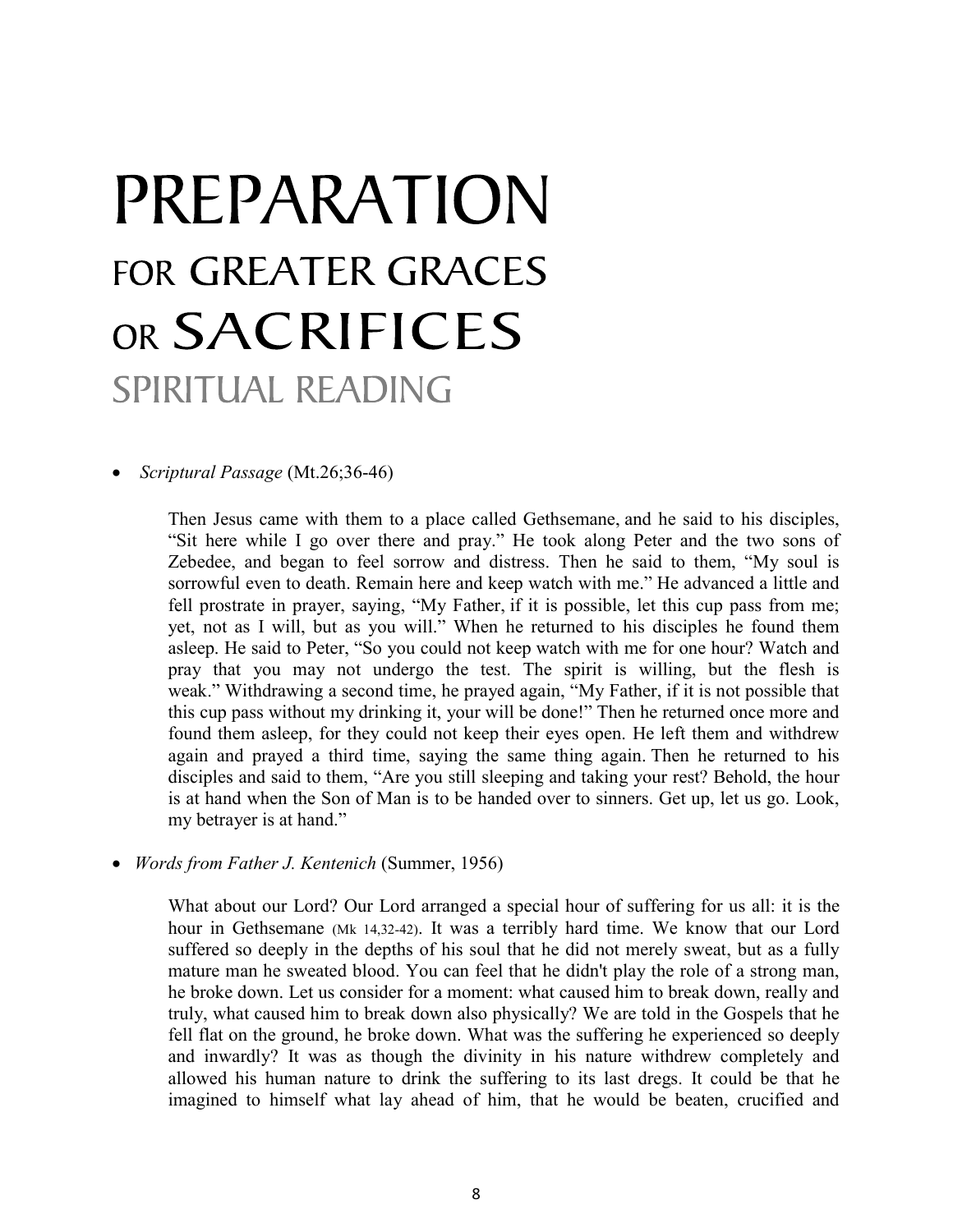## PREPARATION FOR GREATER GRACES OR SACRIFICES SPIRITUAL READING

Scriptural Passage (Mt.26;36-46)

Then Jesus came with them to a place called Gethsemane, and he said to his disciples, "Sit here while I go over there and pray." He took along Peter and the two sons of Zebedee, and began to feel sorrow and distress. Then he said to them, "My soul is sorrowful even to death. Remain here and keep watch with me." He advanced a little and fell prostrate in prayer, saying, "My Father, if it is possible, let this cup pass from me; yet, not as I will, but as you will." When he returned to his disciples he found them asleep. He said to Peter, "So you could not keep watch with me for one hour? Watch and pray that you may not undergo the test. The spirit is willing, but the flesh is weak." Withdrawing a second time, he prayed again, "My Father, if it is not possible that this cup pass without my drinking it, your will be done!" Then he returned once more and found them asleep, for they could not keep their eyes open. He left them and withdrew again and prayed a third time, saying the same thing again. Then he returned to his disciples and said to them, "Are you still sleeping and taking your rest? Behold, the hour is at hand when the Son of Man is to be handed over to sinners. Get up, let us go. Look, my betrayer is at hand."

• Words from Father J. Kentenich (Summer, 1956)

What about our Lord? Our Lord arranged a special hour of suffering for us all: it is the hour in Gethsemane (Mk 14,32-42). It was a terribly hard time. We know that our Lord suffered so deeply in the depths of his soul that he did not merely sweat, but as a fully mature man he sweated blood. You can feel that he didn't play the role of a strong man, he broke down. Let us consider for a moment: what caused him to break down, really and truly, what caused him to break down also physically? We are told in the Gospels that he fell flat on the ground, he broke down. What was the suffering he experienced so deeply and inwardly? It was as though the divinity in his nature withdrew completely and allowed his human nature to drink the suffering to its last dregs. It could be that he imagined to himself what lay ahead of him, that he would be beaten, crucified and